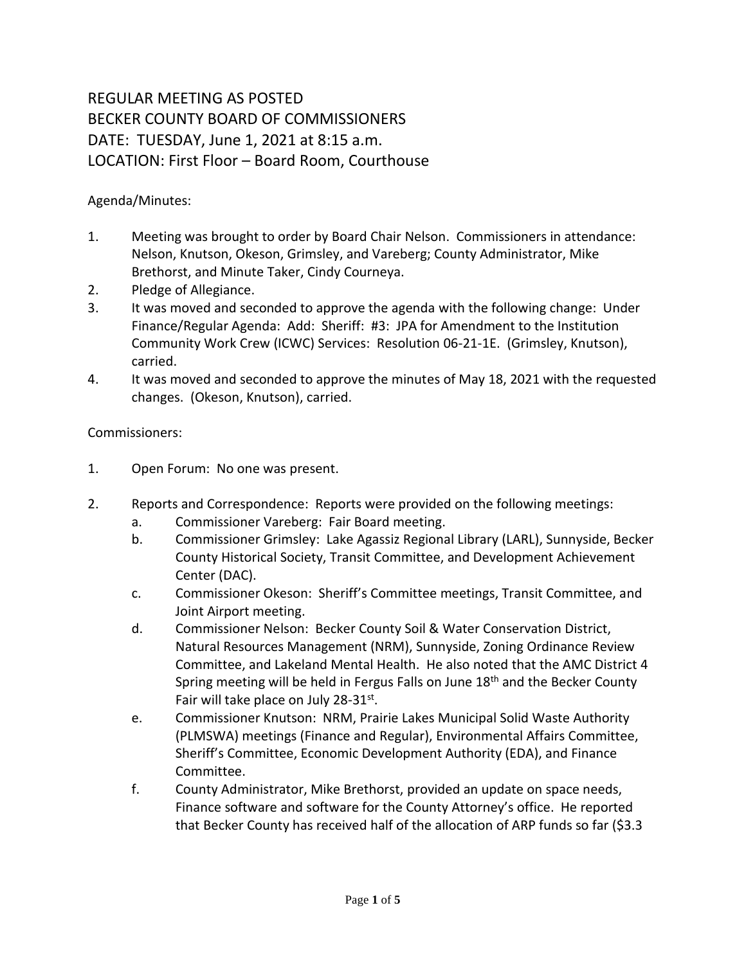## REGULAR MEETING AS POSTED BECKER COUNTY BOARD OF COMMISSIONERS DATE: TUESDAY, June 1, 2021 at 8:15 a.m. LOCATION: First Floor – Board Room, Courthouse

Agenda/Minutes:

- 1. Meeting was brought to order by Board Chair Nelson. Commissioners in attendance: Nelson, Knutson, Okeson, Grimsley, and Vareberg; County Administrator, Mike Brethorst, and Minute Taker, Cindy Courneya.
- 2. Pledge of Allegiance.
- 3. It was moved and seconded to approve the agenda with the following change: Under Finance/Regular Agenda: Add: Sheriff: #3: JPA for Amendment to the Institution Community Work Crew (ICWC) Services: Resolution 06-21-1E. (Grimsley, Knutson), carried.
- 4. It was moved and seconded to approve the minutes of May 18, 2021 with the requested changes. (Okeson, Knutson), carried.

Commissioners:

- 1. Open Forum: No one was present.
- 2. Reports and Correspondence: Reports were provided on the following meetings:
	- a. Commissioner Vareberg: Fair Board meeting.
	- b. Commissioner Grimsley: Lake Agassiz Regional Library (LARL), Sunnyside, Becker County Historical Society, Transit Committee, and Development Achievement Center (DAC).
	- c. Commissioner Okeson: Sheriff's Committee meetings, Transit Committee, and Joint Airport meeting.
	- d. Commissioner Nelson: Becker County Soil & Water Conservation District, Natural Resources Management (NRM), Sunnyside, Zoning Ordinance Review Committee, and Lakeland Mental Health. He also noted that the AMC District 4 Spring meeting will be held in Fergus Falls on June 18<sup>th</sup> and the Becker County Fair will take place on July 28-31st.
	- e. Commissioner Knutson: NRM, Prairie Lakes Municipal Solid Waste Authority (PLMSWA) meetings (Finance and Regular), Environmental Affairs Committee, Sheriff's Committee, Economic Development Authority (EDA), and Finance Committee.
	- f. County Administrator, Mike Brethorst, provided an update on space needs, Finance software and software for the County Attorney's office. He reported that Becker County has received half of the allocation of ARP funds so far (\$3.3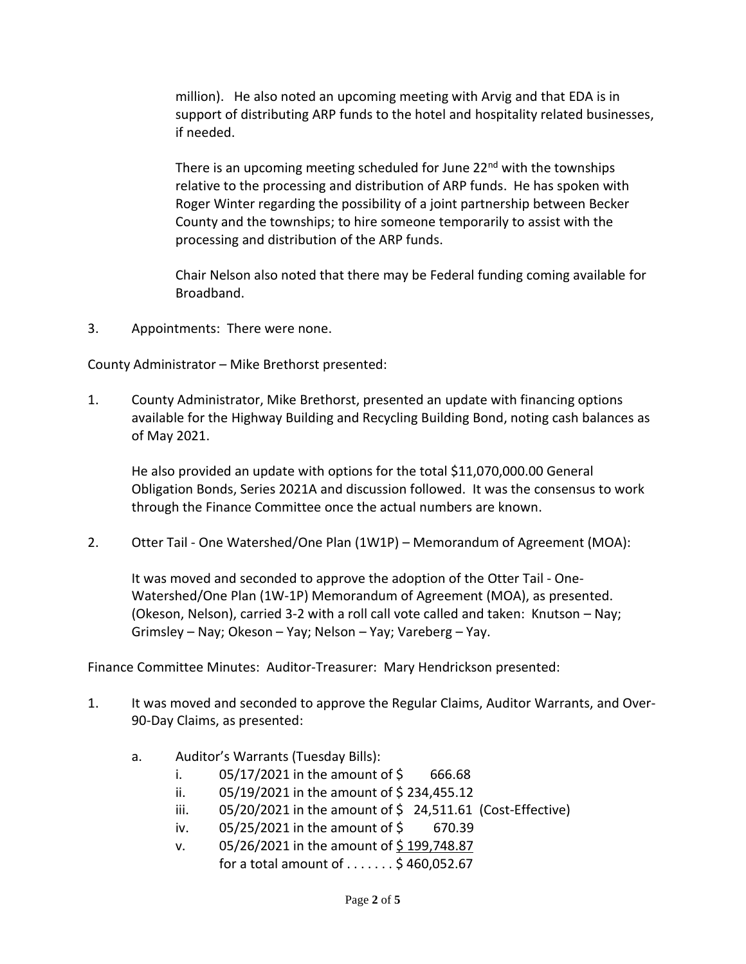million). He also noted an upcoming meeting with Arvig and that EDA is in support of distributing ARP funds to the hotel and hospitality related businesses, if needed.

There is an upcoming meeting scheduled for June  $22<sup>nd</sup>$  with the townships relative to the processing and distribution of ARP funds. He has spoken with Roger Winter regarding the possibility of a joint partnership between Becker County and the townships; to hire someone temporarily to assist with the processing and distribution of the ARP funds.

Chair Nelson also noted that there may be Federal funding coming available for Broadband.

3. Appointments: There were none.

County Administrator – Mike Brethorst presented:

1. County Administrator, Mike Brethorst, presented an update with financing options available for the Highway Building and Recycling Building Bond, noting cash balances as of May 2021.

He also provided an update with options for the total \$11,070,000.00 General Obligation Bonds, Series 2021A and discussion followed. It was the consensus to work through the Finance Committee once the actual numbers are known.

2. Otter Tail - One Watershed/One Plan (1W1P) – Memorandum of Agreement (MOA):

It was moved and seconded to approve the adoption of the Otter Tail - One-Watershed/One Plan (1W-1P) Memorandum of Agreement (MOA), as presented. (Okeson, Nelson), carried 3-2 with a roll call vote called and taken: Knutson – Nay; Grimsley – Nay; Okeson – Yay; Nelson – Yay; Vareberg – Yay.

Finance Committee Minutes: Auditor-Treasurer: Mary Hendrickson presented:

- 1. It was moved and seconded to approve the Regular Claims, Auditor Warrants, and Over-90-Day Claims, as presented:
	- a. Auditor's Warrants (Tuesday Bills):
		- i.  $05/17/2021$  in the amount of \$ 666.68
		- ii.  $05/19/2021$  in the amount of \$234,455.12
		- iii.  $05/20/2021$  in the amount of  $\frac{1}{2}$  24,511.61 (Cost-Effective)
		- iv.  $05/25/2021$  in the amount of \$ 670.39
		- v.  $05/26/2021$  in the amount of \$199,748.87 for a total amount of  $\dots \dots$ \$ 460,052.67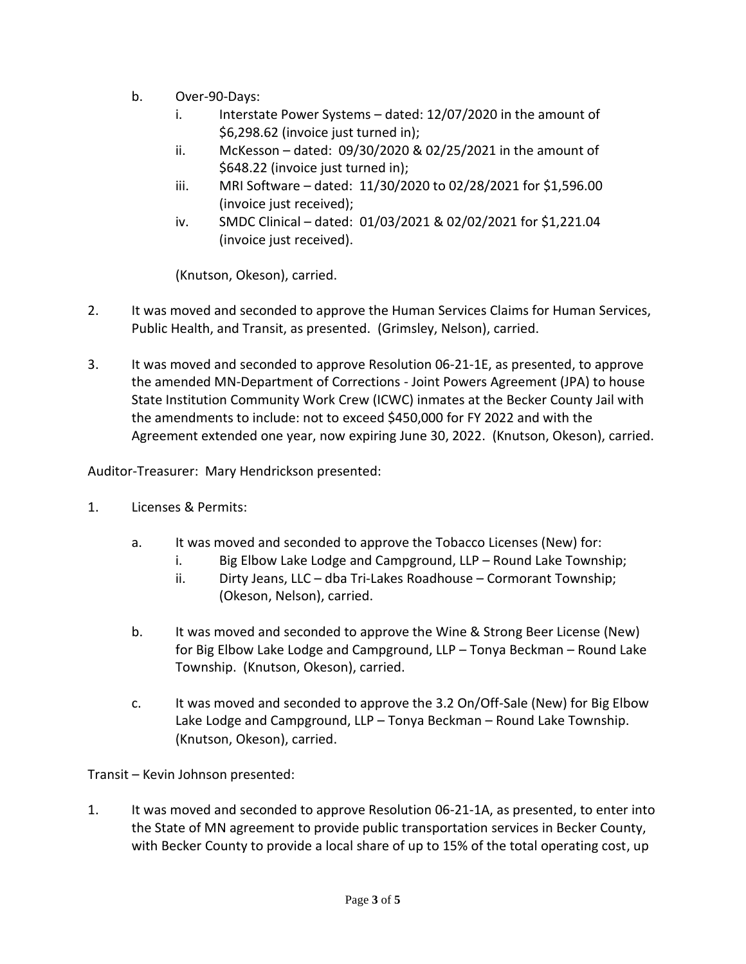- b. Over-90-Days:
	- i. Interstate Power Systems dated: 12/07/2020 in the amount of \$6,298.62 (invoice just turned in);
	- ii. McKesson dated: 09/30/2020 & 02/25/2021 in the amount of \$648.22 (invoice just turned in);
	- iii. MRI Software dated: 11/30/2020 to 02/28/2021 for \$1,596.00 (invoice just received);
	- iv. SMDC Clinical dated: 01/03/2021 & 02/02/2021 for \$1,221.04 (invoice just received).

(Knutson, Okeson), carried.

- 2. It was moved and seconded to approve the Human Services Claims for Human Services, Public Health, and Transit, as presented. (Grimsley, Nelson), carried.
- 3. It was moved and seconded to approve Resolution 06-21-1E, as presented, to approve the amended MN-Department of Corrections - Joint Powers Agreement (JPA) to house State Institution Community Work Crew (ICWC) inmates at the Becker County Jail with the amendments to include: not to exceed \$450,000 for FY 2022 and with the Agreement extended one year, now expiring June 30, 2022. (Knutson, Okeson), carried.

Auditor-Treasurer: Mary Hendrickson presented:

- 1. Licenses & Permits:
	- a. It was moved and seconded to approve the Tobacco Licenses (New) for:
		- i. Big Elbow Lake Lodge and Campground, LLP Round Lake Township;
		- ii. Dirty Jeans, LLC dba Tri-Lakes Roadhouse Cormorant Township; (Okeson, Nelson), carried.
	- b. It was moved and seconded to approve the Wine & Strong Beer License (New) for Big Elbow Lake Lodge and Campground, LLP – Tonya Beckman – Round Lake Township. (Knutson, Okeson), carried.
	- c. It was moved and seconded to approve the 3.2 On/Off-Sale (New) for Big Elbow Lake Lodge and Campground, LLP – Tonya Beckman – Round Lake Township. (Knutson, Okeson), carried.

Transit – Kevin Johnson presented:

1. It was moved and seconded to approve Resolution 06-21-1A, as presented, to enter into the State of MN agreement to provide public transportation services in Becker County, with Becker County to provide a local share of up to 15% of the total operating cost, up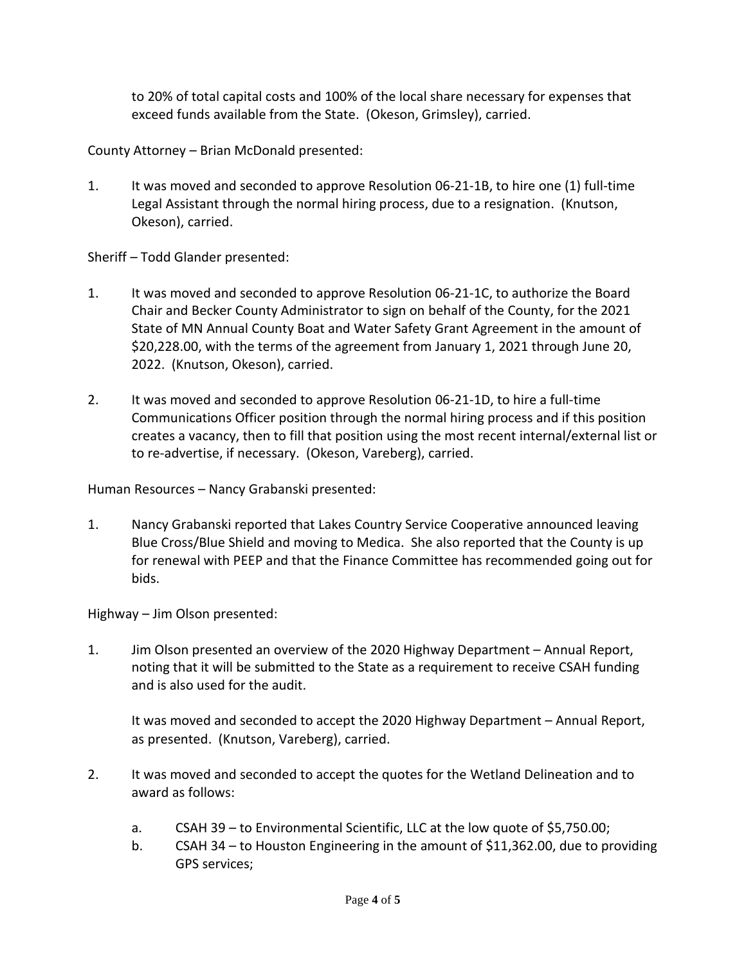to 20% of total capital costs and 100% of the local share necessary for expenses that exceed funds available from the State. (Okeson, Grimsley), carried.

County Attorney – Brian McDonald presented:

1. It was moved and seconded to approve Resolution 06-21-1B, to hire one (1) full-time Legal Assistant through the normal hiring process, due to a resignation. (Knutson, Okeson), carried.

Sheriff – Todd Glander presented:

- 1. It was moved and seconded to approve Resolution 06-21-1C, to authorize the Board Chair and Becker County Administrator to sign on behalf of the County, for the 2021 State of MN Annual County Boat and Water Safety Grant Agreement in the amount of \$20,228.00, with the terms of the agreement from January 1, 2021 through June 20, 2022. (Knutson, Okeson), carried.
- 2. It was moved and seconded to approve Resolution 06-21-1D, to hire a full-time Communications Officer position through the normal hiring process and if this position creates a vacancy, then to fill that position using the most recent internal/external list or to re-advertise, if necessary. (Okeson, Vareberg), carried.

Human Resources – Nancy Grabanski presented:

1. Nancy Grabanski reported that Lakes Country Service Cooperative announced leaving Blue Cross/Blue Shield and moving to Medica. She also reported that the County is up for renewal with PEEP and that the Finance Committee has recommended going out for bids.

Highway – Jim Olson presented:

1. Jim Olson presented an overview of the 2020 Highway Department – Annual Report, noting that it will be submitted to the State as a requirement to receive CSAH funding and is also used for the audit.

It was moved and seconded to accept the 2020 Highway Department – Annual Report, as presented. (Knutson, Vareberg), carried.

- 2. It was moved and seconded to accept the quotes for the Wetland Delineation and to award as follows:
	- a. CSAH 39 to Environmental Scientific, LLC at the low quote of \$5,750.00;
	- b. CSAH 34 to Houston Engineering in the amount of \$11,362.00, due to providing GPS services;